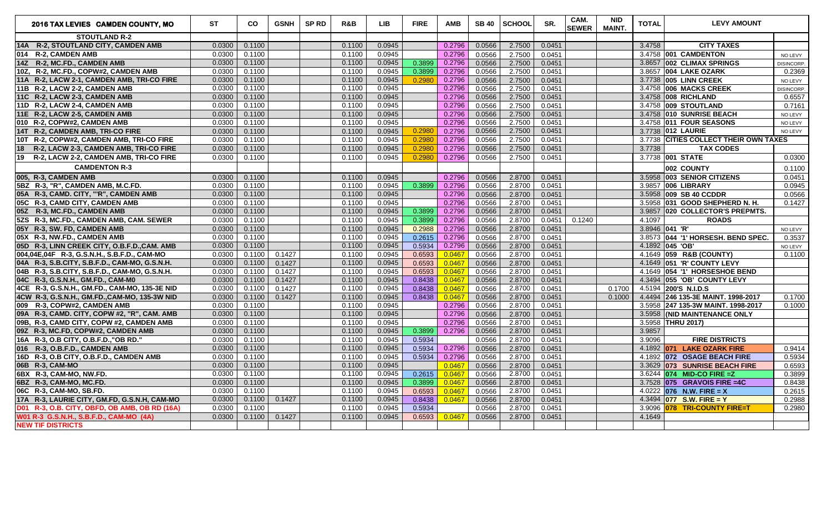| 2016 TAX LEVIES CAMDEN COUNTY, MO                   | <b>ST</b> | CO     | <b>GSNH</b> | <b>SP RD</b> | R&B    | <b>LIB</b> | <b>FIRE</b> | <b>AMB</b> | <b>SB 40</b> | <b>SCHOOL</b> | SR.    | CAM.<br><b>SEWER</b> | <b>NID</b><br><b>MAINT.</b> | <b>TOTAL</b> | <b>LEVY AMOUNT</b>                    |            |
|-----------------------------------------------------|-----------|--------|-------------|--------------|--------|------------|-------------|------------|--------------|---------------|--------|----------------------|-----------------------------|--------------|---------------------------------------|------------|
| <b>STOUTLAND R-2</b>                                |           |        |             |              |        |            |             |            |              |               |        |                      |                             |              |                                       |            |
| 14A R-2, STOUTLAND CITY, CAMDEN AMB                 | 0.0300    | 0.1100 |             |              | 0.1100 | 0.0945     |             | 0.2796     | 0.0566       | 2.7500        | 0.0451 |                      |                             | 3.4758       | <b>CITY TAXES</b>                     |            |
| 014 R-2, CAMDEN AMB                                 | 0.0300    | 0.1100 |             |              | 0.1100 | 0.0945     |             | 0.2796     | 0.0566       | 2.7500        | 0.0451 |                      |                             |              | 3.4758 001 CAMDENTON                  | NO LEVY    |
| 14Z R-2, MC.FD., CAMDEN AMB                         | 0.0300    | 0.1100 |             |              | 0.1100 | 0.0945     | 0.3899      | 0.2796     | 0.0566       | 2.7500        | 0.0451 |                      |                             |              | 3.8657 002 CLIMAX SPRINGS             | DISINCORP. |
| 10Z. R-2. MC.FD., COPW#2. CAMDEN AMB                | 0.0300    | 0.1100 |             |              | 0.1100 | 0.0945     | 0.3899      | 0.2796     | 0.0566       | 2.7500        | 0.0451 |                      |                             |              | 3.8657 004 LAKE OZARK                 | 0.2369     |
| 11A R-2, LACW 2-1, CAMDEN AMB, TRI-CO FIRE          | 0.0300    | 0.1100 |             |              | 0.1100 | 0.0945     | 0.2980      | 0.2796     | 0.0566       | 2.7500        | 0.0451 |                      |                             |              | 3.7738 005 LINN CREEK                 | NO LEVY    |
| 11B R-2, LACW 2-2, CAMDEN AMB                       | 0.0300    | 0.1100 |             |              | 0.1100 | 0.0945     |             | 0.2796     | 0.0566       | 2.7500        | 0.0451 |                      |                             |              | 3.4758 006 MACKS CREEK                | DISINCORP. |
| 11C R-2, LACW 2-3, CAMDEN AMB                       | 0.0300    | 0.1100 |             |              | 0.1100 | 0.0945     |             | 0.2796     | 0.0566       | 2.7500        | 0.0451 |                      |                             |              | 3.4758 008 RICHLAND                   | 0.6557     |
| 11D R-2, LACW 2-4, CAMDEN AMB                       | 0.0300    | 0.1100 |             |              | 0.1100 | 0.0945     |             | 0.2796     | 0.0566       | 2.7500        | 0.0451 |                      |                             |              | 3.4758 009 STOUTLAND                  | 0.7161     |
| 11E R-2, LACW 2-5, CAMDEN AMB                       | 0.0300    | 0.1100 |             |              | 0.1100 | 0.0945     |             | 0.2796     | 0.0566       | 2.7500        | 0.0451 |                      |                             |              | 3.4758 010 SUNRISE BEACH              | NO LEVY    |
| 010 R-2, COPW#2, CAMDEN AMB                         | 0.0300    | 0.1100 |             |              | 0.1100 | 0.0945     |             | 0.2796     | 0.0566       | 2.7500        | 0.0451 |                      |                             |              | 3.4758 <b>011 FOUR SEASONS</b>        | NO LEVY    |
| 14T R-2, CAMDEN AMB, TRI-CO FIRE                    | 0.0300    | 0.1100 |             |              | 0.1100 | 0.0945     | 0.2980      | 0.2796     | 0.0566       | 2.7500        | 0.0451 |                      |                             |              | 3.7738 012 LAURIE                     | NO LEVY    |
| 10T R-2, COPW#2, CAMDEN AMB, TRI-CO FIRE            | 0.0300    | 0.1100 |             |              | 0.1100 | 0.0945     | 0.2980      | 0.2796     | 0.0566       | 2.7500        | 0.0451 |                      |                             |              | 3.7738 CITIES COLLECT THEIR OWN TAXES |            |
| 18<br>R-2, LACW 2-3, CAMDEN AMB, TRI-CO FIRE        | 0.0300    | 0.1100 |             |              | 0.1100 | 0.0945     | 0.2980      | 0.2796     | 0.0566       | 2.7500        | 0.0451 |                      |                             | 3.7738       | <b>TAX CODES</b>                      |            |
| 19<br><b>R-2, LACW 2-2, CAMDEN AMB, TRI-CO FIRE</b> | 0.0300    | 0.1100 |             |              | 0.1100 | 0.0945     | 0.2980      | 0.2796     | 0.0566       | 2.7500        | 0.0451 |                      |                             |              | 3.7738 001 STATE                      | 0.0300     |
| <b>CAMDENTON R-3</b>                                |           |        |             |              |        |            |             |            |              |               |        |                      |                             |              | 002 COUNTY                            | 0.1100     |
| 005. R-3. CAMDEN AMB                                | 0.0300    | 0.1100 |             |              | 0.1100 | 0.0945     |             | 0.2796     | 0.0566       | 2.8700        | 0.0451 |                      |                             |              | 3.5958 003 SENIOR CITIZENS            | 0.0451     |
| 5BZ R-3, "R", CAMDEN AMB, M.C.FD.                   | 0.0300    | 0.1100 |             |              | 0.1100 | 0.0945     | 0.3899      | 0.2796     | 0.0566       | 2.8700        | 0.0451 |                      |                             |              | 3.9857 006 LIBRARY                    | 0.0945     |
| 05A R-3, CAMD. CITY, "'R", CAMDEN AMB               | 0.0300    | 0.1100 |             |              | 0.1100 | 0.0945     |             | 0.2796     | 0.0566       | 2.8700        | 0.0451 |                      |                             |              | 3.5958 009 SB 40 CCDDR                | 0.0566     |
| 05C R-3, CAMD CITY, CAMDEN AMB                      | 0.0300    | 0.1100 |             |              | 0.1100 | 0.0945     |             | 0.2796     | 0.0566       | 2.8700        | 0.0451 |                      |                             |              | 3.5958 031 GOOD SHEPHERD N. H.        | 0.1427     |
| 05Z R-3, MC.FD., CAMDEN AMB                         | 0.0300    | 0.1100 |             |              | 0.1100 | 0.0945     | 0.3899      | 0.2796     | 0.0566       | 2.8700        | 0.0451 |                      |                             |              | 3.9857 020 COLLECTOR'S PREPMTS.       |            |
| 5ZS R-3, MC.FD., CAMDEN AMB, CAM. SEWER             | 0.0300    | 0.1100 |             |              | 0.1100 | 0.0945     | 0.3899      | 0.2796     | 0.0566       | 2.8700        | 0.0451 | 0.1240               |                             | 4.1097       | <b>ROADS</b>                          |            |
| 05Y R-3, SW. FD, CAMDEN AMB                         | 0.0300    | 0.1100 |             |              | 0.1100 | 0.0945     | 0.2988      | 0.2796     | 0.0566       | 2.8700        | 0.0451 |                      |                             |              | 3.8946 041 'R'                        | NO LEVY    |
| 05X R-3, NW.FD., CAMDEN AMB                         | 0.0300    | 0.1100 |             |              | 0.1100 | 0.0945     | 0.2615      | 0.2796     | 0.0566       | 2.8700        | 0.0451 |                      |                             |              | 3.8573 044 '1' HORSESH. BEND SPEC.    | 0.3537     |
| 05D R-3, LINN CREEK CITY, O.B.F.D., CAM. AMB        | 0.0300    | 0.1100 |             |              | 0.1100 | 0.0945     | 0.5934      | 0.2796     | 0.0566       | 2.8700        | 0.0451 |                      |                             |              | 4.1892 045 'OB'                       | NO LEVY    |
| 004,04E,04F R-3, G.S.N.H., S.B.F.D., CAM-MO         | 0.0300    | 0.1100 | 0.1427      |              | 0.1100 | 0.0945     | 0.6593      | 0.0467     | 0.0566       | 2.8700        | 0.0451 |                      |                             |              | 4.1649 059 R&B (COUNTY)               | 0.1100     |
| 04A R-3, S.B.CITY, S.B.F.D., CAM-MO, G.S.N.H.       | 0.0300    | 0.1100 | 0.1427      |              | 0.1100 | 0.0945     | 0.6593      | 0.0467     | 0.0566       | 2.8700        | 0.0451 |                      |                             |              | 4.1649 051 'R' COUNTY LEVY            |            |
| 04B R-3, S.B.CITY, S.B.F.D., CAM-MO, G.S.N.H.       | 0.0300    | 0.1100 | 0.1427      |              | 0.1100 | 0.0945     | 0.6593      | 0.0467     | 0.0566       | 2.8700        | 0.0451 |                      |                             |              | 4.1649 054 '1' HORSESHOE BEND         |            |
| 04C R-3, G.S.N.H., GM.FD., CAM-M0                   | 0.0300    | 0.1100 | 0.1427      |              | 0.1100 | 0.0945     | 0.8438      | 0.0467     | 0.0566       | 2.8700        | 0.0451 |                      |                             |              | 4.3494 055 'OB' COUNTY LEVY           |            |
| 4CE R-3, G.S.N.H., GM.FD., CAM-MO, 135-3E NID       | 0.0300    | 0.1100 | 0.1427      |              | 0.1100 | 0.0945     | 0.8438      | 0.0467     | 0.0566       | 2.8700        | 0.0451 |                      | 0.1700                      |              | 4.5194 200'S N.I.D.S                  |            |
| 4CW R-3, G.S.N.H., GM.FD., CAM-MO, 135-3W NID       | 0.0300    | 0.1100 | 0.1427      |              | 0.1100 | 0.0945     | 0.8438      | 0.0467     | 0.0566       | 2.8700        | 0.0451 |                      | 0.1000                      |              | 4.4494 246 135-3E MAINT. 1998-2017    | 0.1700     |
| 009 R-3, COPW#2, CAMDEN AMB                         | 0.0300    | 0.1100 |             |              | 0.1100 | 0.0945     |             | 0.2796     | 0.0566       | 2.8700        | 0.0451 |                      |                             |              | 3.5958 247 135-3W MAINT. 1998-2017    | 0.1000     |
| 09A R-3, CAMD. CITY, COPW #2, "R", CAM. AMB         | 0.0300    | 0.1100 |             |              | 0.1100 | 0.0945     |             | 0.2796     | 0.0566       | 2.8700        | 0.0451 |                      |                             |              | 3.5958 (NID MAINTENANCE ONLY          |            |
| 09B, R-3, CAMD CITY, COPW #2, CAMDEN AMB            | 0.0300    | 0.1100 |             |              | 0.1100 | 0.0945     |             | 0.2796     | 0.0566       | 2.8700        | 0.0451 |                      |                             |              | 3.5958 THRU 2017)                     |            |
| 09Z R-3, MC.FD, COPW#2, CAMDEN AMB                  | 0.0300    | 0.1100 |             |              | 0.1100 | 0.0945     | 0.3899      | 0.2796     | 0.0566       | 2.8700        | 0.0451 |                      |                             | 3.9857       |                                       |            |
| 16A R-3, O.B CITY, O.B.F.D., "OB RD."               | 0.0300    | 0.1100 |             |              | 0.1100 | 0.0945     | 0.5934      |            | 0.0566       | 2.8700        | 0.0451 |                      |                             | 3.9096       | <b>FIRE DISTRICTS</b>                 |            |
| 016 R-3, O.B.F.D., CAMDEN AMB                       | 0.0300    | 0.1100 |             |              | 0.1100 | 0.0945     | 0.5934      | 0.2796     | 0.0566       | 2.8700        | 0.0451 |                      |                             |              | 4.1892 071 LAKE OZARK FIRE            | 0.9414     |
| 16D R-3, O.B CITY, O.B.F.D., CAMDEN AMB             | 0.0300    | 0.1100 |             |              | 0.1100 | 0.0945     | 0.5934      | 0.2796     | 0.0566       | 2.8700        | 0.0451 |                      |                             |              | 4.1892 072 OSAGE BEACH FIRE           | 0.5934     |
| 06B R-3, CAM-MO                                     | 0.0300    | 0.1100 |             |              | 0.1100 | 0.0945     |             | 0.0467     | 0.0566       | 2.8700        | 0.0451 |                      |                             |              | 3.3629 073 SUNRISE BEACH FIRE         | 0.6593     |
| 6BX R-3, CAM-MO, NW.FD.                             | 0.0300    | 0.1100 |             |              | 0.1100 | 0.0945     | 0.2615      | 0.0467     | 0.0566       | 2.8700        | 0.0451 |                      |                             |              | 3.6244 074 MID-CO FIRE = Z            | 0.3899     |
| 6BZ R-3, CAM-MO, MC.FD.                             | 0.0300    | 0.1100 |             |              | 0.1100 | 0.0945     | 0.3899      | 0.0467     | 0.0566       | 2.8700        | 0.0451 |                      |                             |              | 3.7528 <b>075 GRAVOIS FIRE =4C</b>    | 0.8438     |
| 06C R-3, CAM-MO, SB.FD.                             | 0.0300    | 0.1100 |             |              | 0.1100 | 0.0945     | 0.6593      | 0.0467     | 0.0566       | 2.8700        | 0.0451 |                      |                             |              | $4.0222$ 076 N.W. FIRE = X            | 0.2615     |
| 17A R-3, LAURIE CITY, GM.FD, G.S.N.H, CAM-MO        | 0.0300    | 0.1100 | 0.1427      |              | 0.1100 | 0.0945     | 0.8438      | 0.0467     | 0.0566       | 2.8700        | 0.0451 |                      |                             |              | 4.3494 077 S.W. FIRE = Y              | 0.2988     |
| D01 R-3, O.B. CITY, OBFD, OB AMB, OB RD (16A)       | 0.0300    | 0.1100 |             |              | 0.1100 | 0.0945     | 0.5934      |            | 0.0566       | 2.8700        | 0.0451 |                      |                             |              | 3.9096 078 TRI-COUNTY FIRE=T          | 0.2980     |
| W01 R-3 G.S.N.H., S.B.F.D., CAM-MO (4A)             | 0.0300    | 0.1100 | 0.1427      |              | 0.1100 | 0.0945     | 0.6593      | 0.0467     | 0.0566       | 2.8700        | 0.0451 |                      |                             | 4.1649       |                                       |            |
| <b>NEW TIF DISTRICTS</b>                            |           |        |             |              |        |            |             |            |              |               |        |                      |                             |              |                                       |            |